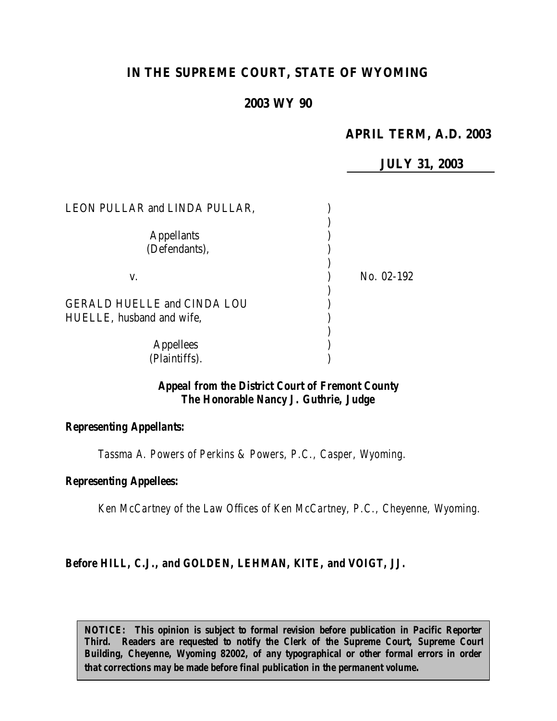# **IN THE SUPREME COURT, STATE OF WYOMING**

## **2003 WY 90**

## **APRIL TERM, A.D. 2003**

**JULY 31, 2003**

| LEON PULLAR and LINDA PULLAR,                                   |            |
|-----------------------------------------------------------------|------------|
| <b>Appellants</b><br>(Defendants),                              |            |
| V.                                                              | No. 02-192 |
| <b>GERALD HUELLE and CINDA LOU</b><br>HUELLE, husband and wife, |            |
|                                                                 |            |
| <b>Appellees</b><br>(Plaintiffs).                               |            |

### *Appeal from the District Court of Fremont County The Honorable Nancy J. Guthrie, Judge*

#### *Representing Appellants:*

*Tassma A. Powers of Perkins & Powers, P.C., Casper, Wyoming.*

#### *Representing Appellees:*

*Ken McCartney of the Law Offices of Ken McCartney, P.C., Cheyenne, Wyoming.*

#### *Before HILL, C.J., and GOLDEN, LEHMAN, KITE, and VOIGT, JJ.*

*NOTICE: This opinion is subject to formal revision before publication in Pacific Reporter Third. Readers are requested to notify the Clerk of the Supreme Court, Supreme Court Building, Cheyenne, Wyoming 82002, of any typographical or other formal errors in order that corrections may be made before final publication in the permanent volume.*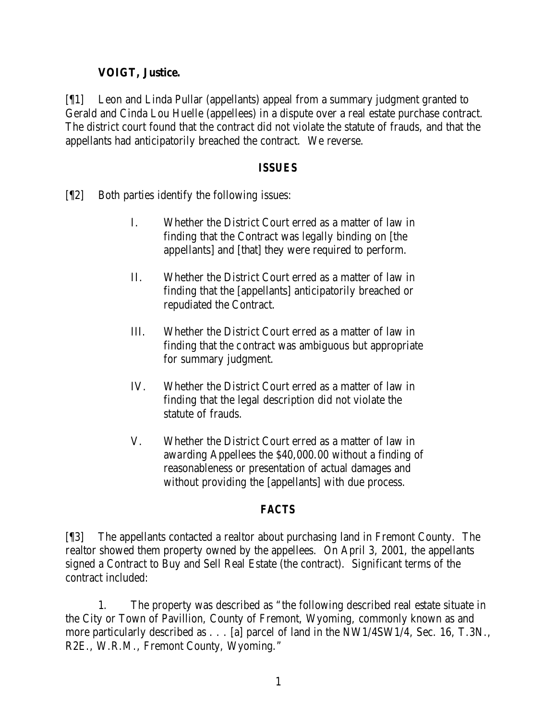## **VOIGT, Justice.**

[¶1] Leon and Linda Pullar (appellants) appeal from a summary judgment granted to Gerald and Cinda Lou Huelle (appellees) in a dispute over a real estate purchase contract. The district court found that the contract did not violate the statute of frauds, and that the appellants had anticipatorily breached the contract. We reverse.

### *ISSUES*

- [¶2] Both parties identify the following issues:
	- I. Whether the District Court erred as a matter of law in finding that the Contract was legally binding on [the appellants] and [that] they were required to perform.
	- II. Whether the District Court erred as a matter of law in finding that the [appellants] anticipatorily breached or repudiated the Contract.
	- III. Whether the District Court erred as a matter of law in finding that the contract was ambiguous but appropriate for summary judgment.
	- IV. Whether the District Court erred as a matter of law in finding that the legal description did not violate the statute of frauds.
	- V. Whether the District Court erred as a matter of law in awarding Appellees the \$40,000.00 without a finding of reasonableness or presentation of actual damages and without providing the [appellants] with due process.

## *FACTS*

[¶3] The appellants contacted a realtor about purchasing land in Fremont County. The realtor showed them property owned by the appellees. On April 3, 2001, the appellants signed a Contract to Buy and Sell Real Estate (the contract). Significant terms of the contract included:

1. The property was described as "the following described real estate situate in the City or Town of Pavillion, County of Fremont, Wyoming, commonly known as and more particularly described as . . . [a] parcel of land in the NW1/4SW1/4, Sec. 16, T.3N., R2E., W.R.M., Fremont County, Wyoming."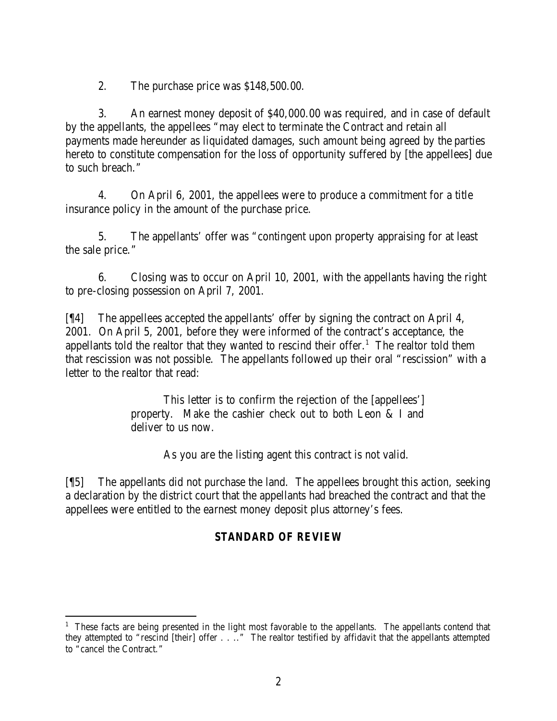2. The purchase price was \$148,500.00.

3. An earnest money deposit of \$40,000.00 was required, and in case of default by the appellants, the appellees "may elect to terminate the Contract and retain all payments made hereunder as liquidated damages, such amount being agreed by the parties hereto to constitute compensation for the loss of opportunity suffered by [the appellees] due to such breach."

4. On April 6, 2001, the appellees were to produce a commitment for a title insurance policy in the amount of the purchase price.

5. The appellants' offer was "contingent upon property appraising for at least the sale price."

6. Closing was to occur on April 10, 2001, with the appellants having the right to pre-closing possession on April 7, 2001.

[¶4] The appellees accepted the appellants' offer by signing the contract on April 4, 2001. On April 5, 2001, before they were informed of the contract's acceptance, the appellants told the realtor that they wanted to rescind their offer.<sup>1</sup> The realtor told them that rescission was not possible. The appellants followed up their oral "rescission" with a letter to the realtor that read:

> This letter is to confirm the rejection of the [appellees'] property. Make the cashier check out to both Leon & I and deliver to us now.

> > As you are the listing agent this contract is not valid.

[¶5] The appellants did not purchase the land. The appellees brought this action, seeking a declaration by the district court that the appellants had breached the contract and that the appellees were entitled to the earnest money deposit plus attorney's fees.

# *STANDARD OF REVIEW*

 <sup>1</sup> These facts are being presented in the light most favorable to the appellants. The appellants contend that they attempted to "rescind [their] offer . . .." The realtor testified by affidavit that the appellants attempted to "cancel the Contract."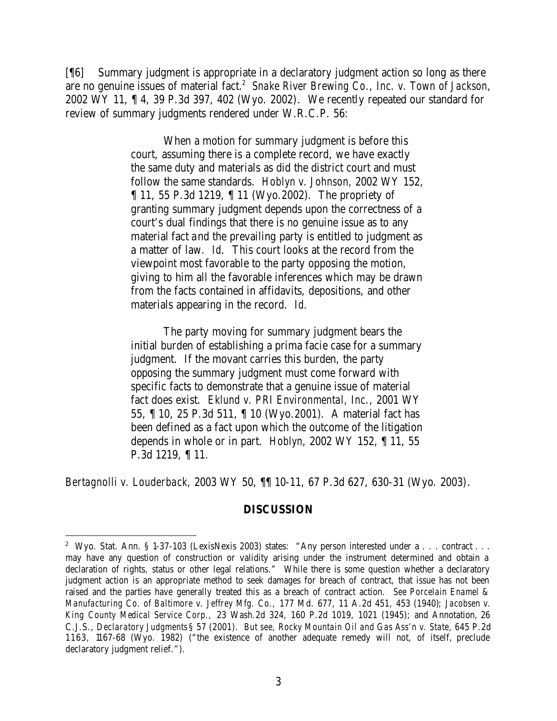[¶6] Summary judgment is appropriate in a declaratory judgment action so long as there are no genuine issues of material fact.<sup>2</sup> Snake River Brewing Co., Inc. v. Town of Jackson, 2002 WY 11, ¶ 4, 39 P.3d 397, 402 (Wyo. 2002). We recently repeated our standard for review of summary judgments rendered under W.R.C.P. 56:

> When a motion for summary judgment is before this court, assuming there is a complete record, we have exactly the same duty and materials as did the district court and must follow the same standards. *Hoblyn v. Johnson,* 2002 WY 152, ¶ 11, 55 P.3d 1219, ¶ 11 (Wyo.2002). The propriety of granting summary judgment depends upon the correctness of a court's dual findings that there is no genuine issue as to any material fact and the prevailing party is entitled to judgment as a matter of law. *Id.* This court looks at the record from the viewpoint most favorable to the party opposing the motion, giving to him all the favorable inferences which may be drawn from the facts contained in affidavits, depositions, and other materials appearing in the record. *Id.*

> The party moving for summary judgment bears the initial burden of establishing a prima facie case for a summary judgment. If the movant carries this burden, the party opposing the summary judgment must come forward with specific facts to demonstrate that a genuine issue of material fact does exist. *Eklund v. PRI Environmental, Inc.,* 2001 WY 55, ¶ 10, 25 P.3d 511, ¶ 10 (Wyo.2001). A material fact has been defined as a fact upon which the outcome of the litigation depends in whole or in part. *Hoblyn,* 2002 WY 152, ¶ 11, 55 P.3d 1219, ¶ 11.

*Bertagnolli v. Louderback,* 2003 WY 50, ¶¶ 10-11, 67 P.3d 627, 630-31 (Wyo. 2003).

#### **DISCUSSION**

<sup>&</sup>lt;sup>2</sup> Wyo. Stat. Ann. § 1-37-103 (LexisNexis 2003) states: "Any person interested under a . . . contract . . . may have any question of construction or validity arising under the instrument determined and obtain a declaration of rights, status or other legal relations." While there is some question whether a declaratory judgment action is an appropriate method to seek damages for breach of contract, that issue has not been raised and the parties have generally treated this as a breach of contract action. *See Porcelain Enamel & Manufacturing Co. of Baltimore v. Jeffrey Mfg. Co.,* 177 Md. 677, 11 A.2d 451, 453 (1940); *Jacobsen v. King County Medical Service Corp.,* 23 Wash.2d 324, 160 P.2d 1019, 1021 (1945); and Annotation, 26 C.J.S., *Declaratory Judgments* § 57 (2001). *But see, Rocky Mountain Oil and Gas Ass'n v. State,* 645 P.2d 1163, 1167-68 (Wyo. 1982) ("the existence of another adequate remedy will not, of itself, preclude declaratory judgment relief.").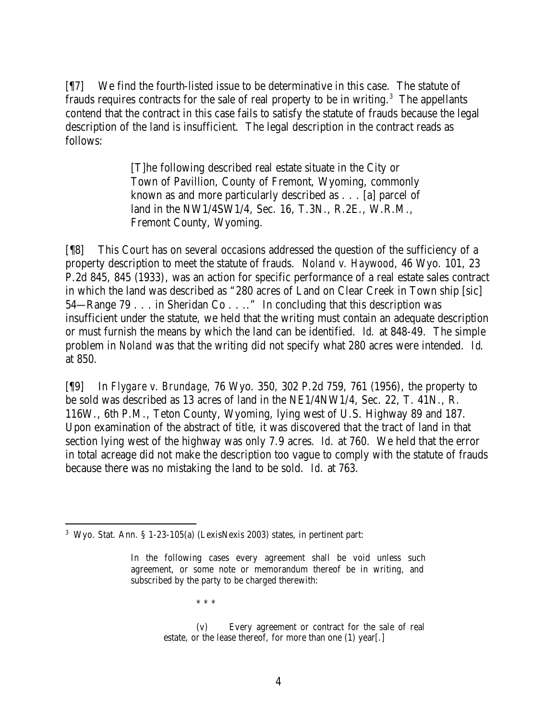[¶7] We find the fourth-listed issue to be determinative in this case. The statute of frauds requires contracts for the sale of real property to be in writing. $3$  The appellants contend that the contract in this case fails to satisfy the statute of frauds because the legal description of the land is insufficient. The legal description in the contract reads as follows:

> [T]he following described real estate situate in the City or Town of Pavillion, County of Fremont, Wyoming, commonly known as and more particularly described as . . . [a] parcel of land in the NW1/4SW1/4, Sec. 16, T.3N., R.2E., W.R.M., Fremont County, Wyoming.

[¶8] This Court has on several occasions addressed the question of the sufficiency of a property description to meet the statute of frauds. *Noland v. Haywood*, 46 Wyo. 101, 23 P.2d 845, 845 (1933), was an action for specific performance of a real estate sales contract in which the land was described as "280 acres of Land on Clear Creek in Town ship [sic] 54—Range 79 . . . in Sheridan Co . . .." In concluding that this description was insufficient under the statute, we held that the writing must contain an adequate description or must furnish the means by which the land can be identified. *Id.* at 848-49. The simple problem in *Noland* was that the writing did not specify what 280 acres were intended. *Id*. at 850.

[¶9] In *Flygare v. Brundage,* 76 Wyo. 350, 302 P.2d 759, 761 (1956), the property to be sold was described as 13 acres of land in the NE1/4NW1/4, Sec. 22, T. 41N., R. 116W., 6th P.M., Teton County, Wyoming, lying west of U.S. Highway 89 and 187. Upon examination of the abstract of title, it was discovered that the tract of land in that section lying west of the highway was only 7.9 acres. *Id.* at 760. We held that the error in total acreage did not make the description too vague to comply with the statute of frauds because there was no mistaking the land to be sold. *Id.* at 763.

\* \* \*

<sup>3</sup> Wyo. Stat. Ann. § 1-23-105(a) (LexisNexis 2003) states, in pertinent part:

In the following cases every agreement shall be void unless such agreement, or some note or memorandum thereof be in writing, and subscribed by the party to be charged therewith:

<sup>(</sup>v) Every agreement or contract for the sale of real estate, or the lease thereof, for more than one (1) year[.]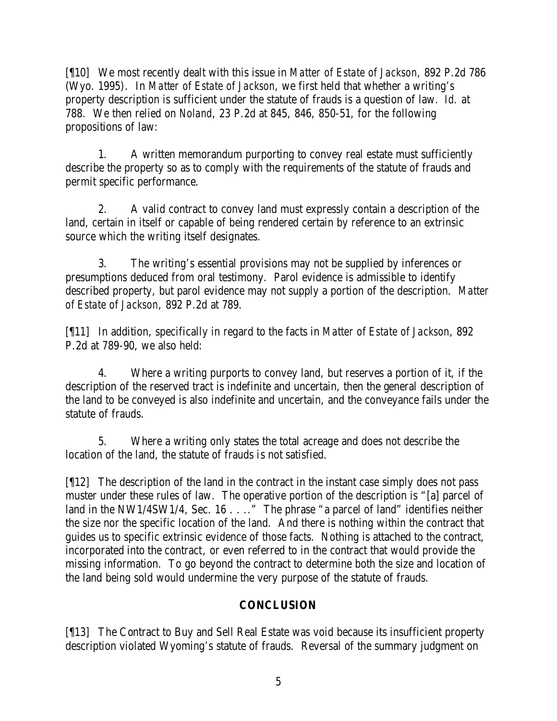[¶10] We most recently dealt with this issue in *Matter of Estate of Jackson,* 892 P.2d 786 (Wyo. 1995). In *Matter of Estate of Jackson*, we first held that whether a writing's property description is sufficient under the statute of frauds is a question of law. *Id.* at 788. We then relied on *Noland*, 23 P.2d at 845, 846, 850-51, for the following propositions of law:

1. A written memorandum purporting to convey real estate must sufficiently describe the property so as to comply with the requirements of the statute of frauds and permit specific performance.

2. A valid contract to convey land must expressly contain a description of the land, certain in itself or capable of being rendered certain by reference to an extrinsic source which the writing itself designates.

3. The writing's essential provisions may not be supplied by inferences or presumptions deduced from oral testimony. Parol evidence is admissible to identify described property, but parol evidence may not supply a portion of the description. *Matter of Estate of Jackson*, 892 P.2d at 789.

[¶11] In addition, specifically in regard to the facts in *Matter of Estate of Jackson*, 892 P.2d at 789-90, we also held:

4. Where a writing purports to convey land, but reserves a portion of it, if the description of the reserved tract is indefinite and uncertain, then the general description of the land to be conveyed is also indefinite and uncertain, and the conveyance fails under the statute of frauds.

5. Where a writing only states the total acreage and does not describe the location of the land, the statute of frauds is not satisfied.

[¶12] The description of the land in the contract in the instant case simply does not pass muster under these rules of law. The operative portion of the description is "[a] parcel of land in the NW1/4SW1/4, Sec. 16 . . . . "The phrase "a parcel of land" identifies neither the size nor the specific location of the land. And there is nothing within the contract that guides us to specific extrinsic evidence of those facts. Nothing is attached to the contract, incorporated into the contract, or even referred to in the contract that would provide the missing information. To go beyond the contract to determine both the size and location of the land being sold would undermine the very purpose of the statute of frauds.

# **CONCLUSION**

[¶13] The Contract to Buy and Sell Real Estate was void because its insufficient property description violated Wyoming's statute of frauds. Reversal of the summary judgment on